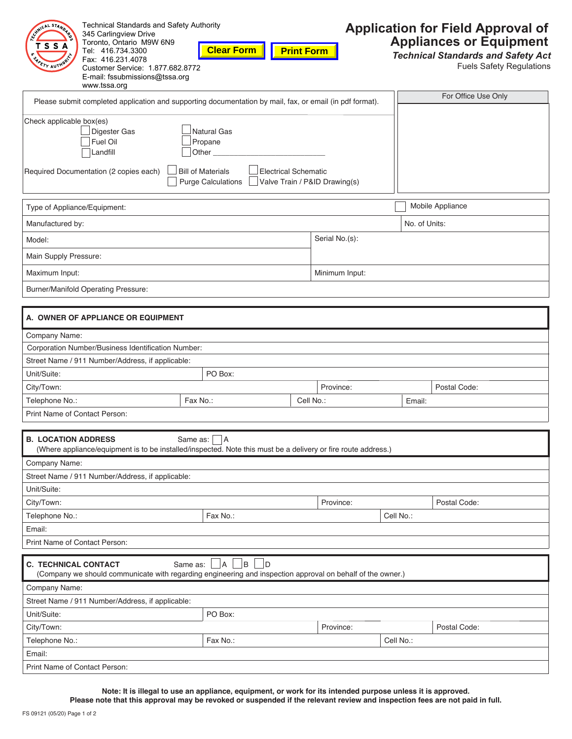| For Office Use Only<br>Please submit completed application and supporting documentation by mail, fax, or email (in pdf format).<br>Check applicable box(es)<br><b>Natural Gas</b><br>Digester Gas<br>Fuel Oil<br>Propane<br>Landfill<br>Other<br><b>Bill of Materials</b><br>Electrical Schematic<br><b>Purge Calculations</b><br>Valve Train / P&ID Drawing(s)<br>Mobile Appliance<br>Type of Appliance/Equipment:<br>Manufactured by:<br>No. of Units:<br>Serial No.(s):<br>Model:<br>Main Supply Pressure:<br>Maximum Input:<br>Minimum Input:<br><b>Burner/Manifold Operating Pressure:</b><br><b>A. OWNER OF APPLIANCE OR EQUIPMENT</b><br>Company Name:<br>Corporation Number/Business Identification Number:<br>Street Name / 911 Number/Address, if applicable:<br>PO Box:<br>Unit/Suite:<br>Postal Code:<br>City/Town:<br>Province:<br>Telephone No.:<br>Fax No.:<br>Cell No.:<br>Email:<br>Print Name of Contact Person:<br><b>B. LOCATION ADDRESS</b><br>Same as:     A<br>(Where appliance/equipment is to be installed/inspected. Note this must be a delivery or fire route address.)<br>Company Name:<br>Street Name / 911 Number/Address, if applicable:<br>Unit/Suite:<br>City/Town:<br>Province:<br>Postal Code:<br>Cell No.:<br>Telephone No.:<br>Fax No.:<br>Email:<br><b>Print Name of Contact Person:</b><br>$\overline{B}$<br><b>C. TECHNICAL CONTACT</b><br> A<br>- ID<br>Same as:<br>(Company we should communicate with regarding engineering and inspection approval on behalf of the owner.)<br>Company Name:<br>Street Name / 911 Number/Address, if applicable:<br>PO Box:<br>Unit/Suite:<br>City/Town:<br>Province:<br>Postal Code:<br>Fax No.:<br>Cell No.:<br>Telephone No.:<br>Email:<br>Print Name of Contact Person: | <b>Technical Standards and Safety Authority</b><br>ANICAL STAND<br>345 Carlingview Drive<br>Toronto, Ontario M9W 6N9<br>s s<br>Tel: 416.734.3300<br>Fax: 416.231.4078<br>Customer Service: 1.877.682.8772<br>E-mail: fssubmissions@tssa.org<br>www.tssa.org | <b>Clear Form</b><br><b>Print Form</b> |  | <b>Application for Field Approval of</b><br><b>Appliances or Equipment</b><br><b>Technical Standards and Safety Act</b><br><b>Fuels Safety Regulations</b> |
|----------------------------------------------------------------------------------------------------------------------------------------------------------------------------------------------------------------------------------------------------------------------------------------------------------------------------------------------------------------------------------------------------------------------------------------------------------------------------------------------------------------------------------------------------------------------------------------------------------------------------------------------------------------------------------------------------------------------------------------------------------------------------------------------------------------------------------------------------------------------------------------------------------------------------------------------------------------------------------------------------------------------------------------------------------------------------------------------------------------------------------------------------------------------------------------------------------------------------------------------------------------------------------------------------------------------------------------------------------------------------------------------------------------------------------------------------------------------------------------------------------------------------------------------------------------------------------------------------------------------------------------------------------------------------------------------------------------------------------------------------------|-------------------------------------------------------------------------------------------------------------------------------------------------------------------------------------------------------------------------------------------------------------|----------------------------------------|--|------------------------------------------------------------------------------------------------------------------------------------------------------------|
|                                                                                                                                                                                                                                                                                                                                                                                                                                                                                                                                                                                                                                                                                                                                                                                                                                                                                                                                                                                                                                                                                                                                                                                                                                                                                                                                                                                                                                                                                                                                                                                                                                                                                                                                                          |                                                                                                                                                                                                                                                             |                                        |  |                                                                                                                                                            |
|                                                                                                                                                                                                                                                                                                                                                                                                                                                                                                                                                                                                                                                                                                                                                                                                                                                                                                                                                                                                                                                                                                                                                                                                                                                                                                                                                                                                                                                                                                                                                                                                                                                                                                                                                          |                                                                                                                                                                                                                                                             |                                        |  |                                                                                                                                                            |
|                                                                                                                                                                                                                                                                                                                                                                                                                                                                                                                                                                                                                                                                                                                                                                                                                                                                                                                                                                                                                                                                                                                                                                                                                                                                                                                                                                                                                                                                                                                                                                                                                                                                                                                                                          | Required Documentation (2 copies each)                                                                                                                                                                                                                      |                                        |  |                                                                                                                                                            |
|                                                                                                                                                                                                                                                                                                                                                                                                                                                                                                                                                                                                                                                                                                                                                                                                                                                                                                                                                                                                                                                                                                                                                                                                                                                                                                                                                                                                                                                                                                                                                                                                                                                                                                                                                          |                                                                                                                                                                                                                                                             |                                        |  |                                                                                                                                                            |
|                                                                                                                                                                                                                                                                                                                                                                                                                                                                                                                                                                                                                                                                                                                                                                                                                                                                                                                                                                                                                                                                                                                                                                                                                                                                                                                                                                                                                                                                                                                                                                                                                                                                                                                                                          |                                                                                                                                                                                                                                                             |                                        |  |                                                                                                                                                            |
|                                                                                                                                                                                                                                                                                                                                                                                                                                                                                                                                                                                                                                                                                                                                                                                                                                                                                                                                                                                                                                                                                                                                                                                                                                                                                                                                                                                                                                                                                                                                                                                                                                                                                                                                                          |                                                                                                                                                                                                                                                             |                                        |  |                                                                                                                                                            |
|                                                                                                                                                                                                                                                                                                                                                                                                                                                                                                                                                                                                                                                                                                                                                                                                                                                                                                                                                                                                                                                                                                                                                                                                                                                                                                                                                                                                                                                                                                                                                                                                                                                                                                                                                          |                                                                                                                                                                                                                                                             |                                        |  |                                                                                                                                                            |
|                                                                                                                                                                                                                                                                                                                                                                                                                                                                                                                                                                                                                                                                                                                                                                                                                                                                                                                                                                                                                                                                                                                                                                                                                                                                                                                                                                                                                                                                                                                                                                                                                                                                                                                                                          |                                                                                                                                                                                                                                                             |                                        |  |                                                                                                                                                            |
|                                                                                                                                                                                                                                                                                                                                                                                                                                                                                                                                                                                                                                                                                                                                                                                                                                                                                                                                                                                                                                                                                                                                                                                                                                                                                                                                                                                                                                                                                                                                                                                                                                                                                                                                                          |                                                                                                                                                                                                                                                             |                                        |  |                                                                                                                                                            |
|                                                                                                                                                                                                                                                                                                                                                                                                                                                                                                                                                                                                                                                                                                                                                                                                                                                                                                                                                                                                                                                                                                                                                                                                                                                                                                                                                                                                                                                                                                                                                                                                                                                                                                                                                          |                                                                                                                                                                                                                                                             |                                        |  |                                                                                                                                                            |
|                                                                                                                                                                                                                                                                                                                                                                                                                                                                                                                                                                                                                                                                                                                                                                                                                                                                                                                                                                                                                                                                                                                                                                                                                                                                                                                                                                                                                                                                                                                                                                                                                                                                                                                                                          |                                                                                                                                                                                                                                                             |                                        |  |                                                                                                                                                            |
|                                                                                                                                                                                                                                                                                                                                                                                                                                                                                                                                                                                                                                                                                                                                                                                                                                                                                                                                                                                                                                                                                                                                                                                                                                                                                                                                                                                                                                                                                                                                                                                                                                                                                                                                                          |                                                                                                                                                                                                                                                             |                                        |  |                                                                                                                                                            |
|                                                                                                                                                                                                                                                                                                                                                                                                                                                                                                                                                                                                                                                                                                                                                                                                                                                                                                                                                                                                                                                                                                                                                                                                                                                                                                                                                                                                                                                                                                                                                                                                                                                                                                                                                          |                                                                                                                                                                                                                                                             |                                        |  |                                                                                                                                                            |
|                                                                                                                                                                                                                                                                                                                                                                                                                                                                                                                                                                                                                                                                                                                                                                                                                                                                                                                                                                                                                                                                                                                                                                                                                                                                                                                                                                                                                                                                                                                                                                                                                                                                                                                                                          |                                                                                                                                                                                                                                                             |                                        |  |                                                                                                                                                            |
|                                                                                                                                                                                                                                                                                                                                                                                                                                                                                                                                                                                                                                                                                                                                                                                                                                                                                                                                                                                                                                                                                                                                                                                                                                                                                                                                                                                                                                                                                                                                                                                                                                                                                                                                                          |                                                                                                                                                                                                                                                             |                                        |  |                                                                                                                                                            |
|                                                                                                                                                                                                                                                                                                                                                                                                                                                                                                                                                                                                                                                                                                                                                                                                                                                                                                                                                                                                                                                                                                                                                                                                                                                                                                                                                                                                                                                                                                                                                                                                                                                                                                                                                          |                                                                                                                                                                                                                                                             |                                        |  |                                                                                                                                                            |
|                                                                                                                                                                                                                                                                                                                                                                                                                                                                                                                                                                                                                                                                                                                                                                                                                                                                                                                                                                                                                                                                                                                                                                                                                                                                                                                                                                                                                                                                                                                                                                                                                                                                                                                                                          |                                                                                                                                                                                                                                                             |                                        |  |                                                                                                                                                            |
|                                                                                                                                                                                                                                                                                                                                                                                                                                                                                                                                                                                                                                                                                                                                                                                                                                                                                                                                                                                                                                                                                                                                                                                                                                                                                                                                                                                                                                                                                                                                                                                                                                                                                                                                                          |                                                                                                                                                                                                                                                             |                                        |  |                                                                                                                                                            |
|                                                                                                                                                                                                                                                                                                                                                                                                                                                                                                                                                                                                                                                                                                                                                                                                                                                                                                                                                                                                                                                                                                                                                                                                                                                                                                                                                                                                                                                                                                                                                                                                                                                                                                                                                          |                                                                                                                                                                                                                                                             |                                        |  |                                                                                                                                                            |
|                                                                                                                                                                                                                                                                                                                                                                                                                                                                                                                                                                                                                                                                                                                                                                                                                                                                                                                                                                                                                                                                                                                                                                                                                                                                                                                                                                                                                                                                                                                                                                                                                                                                                                                                                          |                                                                                                                                                                                                                                                             |                                        |  |                                                                                                                                                            |
|                                                                                                                                                                                                                                                                                                                                                                                                                                                                                                                                                                                                                                                                                                                                                                                                                                                                                                                                                                                                                                                                                                                                                                                                                                                                                                                                                                                                                                                                                                                                                                                                                                                                                                                                                          |                                                                                                                                                                                                                                                             |                                        |  |                                                                                                                                                            |
|                                                                                                                                                                                                                                                                                                                                                                                                                                                                                                                                                                                                                                                                                                                                                                                                                                                                                                                                                                                                                                                                                                                                                                                                                                                                                                                                                                                                                                                                                                                                                                                                                                                                                                                                                          |                                                                                                                                                                                                                                                             |                                        |  |                                                                                                                                                            |
|                                                                                                                                                                                                                                                                                                                                                                                                                                                                                                                                                                                                                                                                                                                                                                                                                                                                                                                                                                                                                                                                                                                                                                                                                                                                                                                                                                                                                                                                                                                                                                                                                                                                                                                                                          |                                                                                                                                                                                                                                                             |                                        |  |                                                                                                                                                            |
|                                                                                                                                                                                                                                                                                                                                                                                                                                                                                                                                                                                                                                                                                                                                                                                                                                                                                                                                                                                                                                                                                                                                                                                                                                                                                                                                                                                                                                                                                                                                                                                                                                                                                                                                                          |                                                                                                                                                                                                                                                             |                                        |  |                                                                                                                                                            |
|                                                                                                                                                                                                                                                                                                                                                                                                                                                                                                                                                                                                                                                                                                                                                                                                                                                                                                                                                                                                                                                                                                                                                                                                                                                                                                                                                                                                                                                                                                                                                                                                                                                                                                                                                          |                                                                                                                                                                                                                                                             |                                        |  |                                                                                                                                                            |
|                                                                                                                                                                                                                                                                                                                                                                                                                                                                                                                                                                                                                                                                                                                                                                                                                                                                                                                                                                                                                                                                                                                                                                                                                                                                                                                                                                                                                                                                                                                                                                                                                                                                                                                                                          |                                                                                                                                                                                                                                                             |                                        |  |                                                                                                                                                            |
|                                                                                                                                                                                                                                                                                                                                                                                                                                                                                                                                                                                                                                                                                                                                                                                                                                                                                                                                                                                                                                                                                                                                                                                                                                                                                                                                                                                                                                                                                                                                                                                                                                                                                                                                                          |                                                                                                                                                                                                                                                             |                                        |  |                                                                                                                                                            |
|                                                                                                                                                                                                                                                                                                                                                                                                                                                                                                                                                                                                                                                                                                                                                                                                                                                                                                                                                                                                                                                                                                                                                                                                                                                                                                                                                                                                                                                                                                                                                                                                                                                                                                                                                          |                                                                                                                                                                                                                                                             |                                        |  |                                                                                                                                                            |
|                                                                                                                                                                                                                                                                                                                                                                                                                                                                                                                                                                                                                                                                                                                                                                                                                                                                                                                                                                                                                                                                                                                                                                                                                                                                                                                                                                                                                                                                                                                                                                                                                                                                                                                                                          |                                                                                                                                                                                                                                                             |                                        |  |                                                                                                                                                            |
|                                                                                                                                                                                                                                                                                                                                                                                                                                                                                                                                                                                                                                                                                                                                                                                                                                                                                                                                                                                                                                                                                                                                                                                                                                                                                                                                                                                                                                                                                                                                                                                                                                                                                                                                                          |                                                                                                                                                                                                                                                             |                                        |  |                                                                                                                                                            |
|                                                                                                                                                                                                                                                                                                                                                                                                                                                                                                                                                                                                                                                                                                                                                                                                                                                                                                                                                                                                                                                                                                                                                                                                                                                                                                                                                                                                                                                                                                                                                                                                                                                                                                                                                          |                                                                                                                                                                                                                                                             |                                        |  |                                                                                                                                                            |

**Please note that this approval may be revoked or suspended if the relevant review and inspection fees are not paid in full. Note: It is illegal to use an appliance, equipment, or work for its intended purpose unless it is approved.**